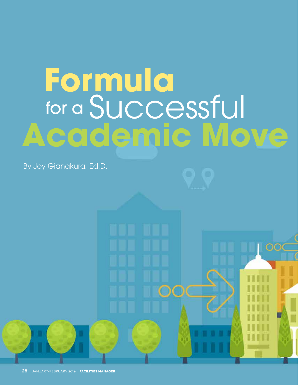# **Academic Move** for a Successful **Formula**

By Joy Gianakura, Ed.D.

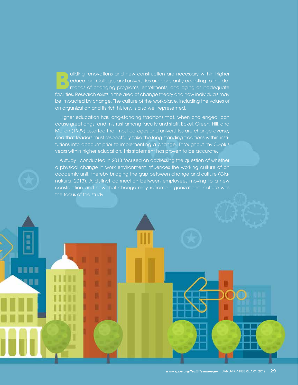uilding renovations and new construction are necessary within higher<br>education. Colleges and universities are constantly adapting to the de-<br>mands of changing programs, enrollments, and aging or inadequate<br>facilities. Pers education. Colleges and universities are constantly adapting to the demands of changing programs, enrollments, and aging or inadequate facilities. Research exists in the area of change theory and how individuals may be impacted by change. The culture of the workplace, including the values of an organization and its rich history, is also well represented.

Higher education has long-standing traditions that, when challenged, can cause great angst and mistrust among faculty and staff. Eckel, Green, Hill, and Mallon (1999) asserted that most colleges and universities are change-averse, and that leaders must respectfully take the long-standing traditions within institutions into account prior to implementing a change. Throughout my 30-plus years within higher education, this statement has proven to be accurate.

A study I conducted in 2013 focused on addressing the question of whether a physical change in work environment influences the working culture of an academic unit, thereby bridging the gap between change and culture (Gianakura, 2013). A distinct connection between employees moving to a new construction and how that change may reframe organizational culture was the focus of the study.

**BREE** 

9 U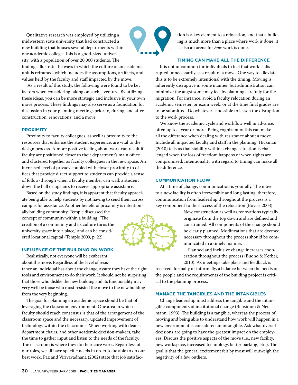Qualitative research was employed by utilizing a midwestern state university that had constructed a new building that houses several departments within one academic college. This is a good-sized university, with a population of over 20,000 students. The findings illustrate the ways in which the culture of an academic unit is reframed, which includes the assumptions, artifacts, and

values held by the faculty and staff impacted by the move. As a result of this study, the following were found to be key factors when considering taking on such a venture. By utilizing these ideas, you can be more strategic and inclusive in your own move process. These findings may also serve as a foundation for

discussion in your planning meetings prior to, during, and after

construction, renovations, and a move.

**PROXIMITY**

Proximity to faculty colleagues, as well as proximity to the resources that enhance the student experience, are vital to the design process. A more positive feeling about work can result if faculty are positioned closer to their department's main office and clustered together as faculty colleagues in the new space. An increased level of privacy coupled with closer proximity to offices that provide direct support to students can provide a sense of follow-through when a faculty member can walk a student down the hall or upstairs to receive appropriate assistance.

Based on the study findings, it is apparent that faculty appreciate being able to help students by not having to send them across campus for assistance. Another benefit of proximity is intention-

ally building community. Temple discussed the concept of community within a building. "The creation of a community and its culture turns the university space into a place," and can be considered locational capital (Temple 2009, p. 22).

### **INFLUENCE OF THE BUILDING ON WORK**

Realistically, not everyone will be exuberant about the move. Regardless of the level of resis-

tance an individual has about the change, assure they have the right tools and environment to do their work. It should not be surprising that those who dislike the new building and its functionality may very well be those who most resisted the move to the new building from the very beginning.

The goal for planning an academic space should be that of leveraging the classroom environment. One area in which faculty should reach consensus is that of the arrangement of the classroom space and the necessary, updated improvement of technology within the classrooms. When working with deans, department chairs, and other academic decision-makers, take the time to gather input and listen to the needs of the faculty. The classroom is where they do their core work. Regardless of our roles, we all have specific needs in order to be able to do our best work. Paz and Viriyavadhana (2002) state that job satisfaction is a key element to a relocation, and that a building is much more than a place where work is done; it is also an arena for *how* work is done.

### **TIMING CAN MAKE ALL THE DIFFERENCE**

It is not uncommon for individuals to feel that work is disrupted unnecessarily as a result of a move. One way to alleviate this is to be extremely intentional with the timing. Moving is inherently disruptive in some manner, but administration can minimize the angst some may feel by planning carefully for the migration. For instance, avoid a faculty relocation during an academic semester, or exam week, or at the time final grades are to be submitted. Do whatever is possible to lessen the disruption to the work process.

We know the academic cycle and workflow well in advance, often up to a year or more. Being cognizant of this can make all the difference when dealing with resistance about a move. Include all impacted faculty and staff in the planning! Hickman (2010) tells us that stability within a change situation is challenged when the loss of freedom happens or when rights are compromised. Intentionality with regard to timing can make all the difference.

### **COMMUNICATION FLOW**

At a time of change, communication is your ally. The move to a new facility is often irreversible and long lasting; therefore, communication from leadership throughout the process is a key component to the success of the relocation (Boyce, 2003).

> New construction as well as renovations typically originate from the top down and are defined and constrained. All components of the change should be clearly planned. Modifications that are deemed necessary throughout the process should be communicated in a timely manner.

Planned and inclusive change increases cooperation throughout the process (Buono & Kerber, 2010). As meetings take place and feedback is

received, formally or informally, a balance between the needs of the people and the requirements of the building project is critical to the planning process.

### **MANAGE THE TANGIBLES AND THE INTANGIBLES**

Change leadership must address the tangible and the intangible components of institutional change (Bensimon & Neumann, 1993). The building is a tangible, whereas the process of moving and being able to understand how work will happen in a new environment is considered an intangible. Ask what overall decisions are going to have the greatest impact on the employees. Discuss the positive aspects of the move (i.e., new facility, new workspace, increased technology, better parking, etc.). The goal is that the general excitement felt by most will outweigh the negativity of a few outliers.

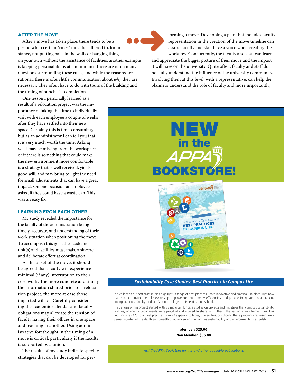## **AFTER THE MOVE**

After a move has taken place, there tends to be a period when certain "rules" must be adhered to, for instance, not putting nails in the walls or hanging things on your own without the assistance of facilities; another example is keeping personal items at a minimum. There are often many questions surrounding these rules, and while the reasons are rational, there is often little communication about *why* they are necessary. They often have to do with tours of the building and the timing of punch-list completion.

One lesson I personally learned as a result of a relocation project was the importance of taking the time to individually visit with each employee a couple of weeks after they have settled into their new space. Certainly this is time-consuming, but as an administrator I can tell you that it is very much worth the time. Asking what may be missing from the workspace, or if there is something that could make the new environment more comfortable, is a strategy that is well received, yields good will, and may bring to light the need for small adjustments that can have a great impact. On one occasion an employee asked if they could have a waste can. This was an easy fix!

## **LEARNING FROM EACH OTHER**

My study revealed the importance for the faculty of the administration being timely, accurate, and understanding of their work situation when positioning the move. To accomplish this goal, the academic unit(s) and facilities must make a sincere and deliberate effort at coordination.

At the onset of the move, it should be agreed that faculty will experience minimal (if any) interruption to their core work. The more concrete and timely the information shared prior to a relocation project, the more at ease those impacted will be. Carefully considering the academic calendar and faculty obligations may alleviate the tension of faculty having their offices in one space and teaching in another. Using administrative forethought in the timing of a move is critical, particularly if the faculty is supported by a union.

The results of my study indicate specific strategies that can be developed for per-



forming a move. Developing a plan that includes faculty representation in the creation of the move timeline can assure faculty and staff have a voice when creating the workflow. Concurrently, the faculty and staff can learn and appreciate the bigger picture of their move and the impact

it will have on the university. Quite often, faculty and staff do not fully understand the influence of the university community. Involving them at this level, with a representative, can help the planners understand the role of faculty and more importantly,



### *Sustainability Case Studies: Best Practices in Campus Life*

This collection of short case studies highlights a range of best practices—both innovative and practical—in place right now that enhance environmental stewardship, improve cost and energy efficiencies, and provide for greater collaborations among students, faculty, and staffs at our colleges, universities, and schools.

The genesis of this project started with a simple call for case studies on projects and initiatives that campus sustainability, facilities, or energy departments were proud of and wanted to share with others. The response was tremendous. This book includes 123 total best practices from 92 separate colleges, universities, or schools. These programs represent only a small number of the depth and breadth of advancements in campus sustainability and environmental stewardship.

> **Member: \$25.00 Non Member: \$35.00**

*Visit the APPA Bookstore for this and other available publications!*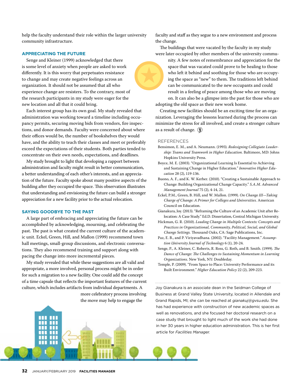help the faculty understand their role within the larger university community infrastructure.

### **APPRECIATING THE FUTURE**

Senge and Kleiner (1999) acknowledged that there is some level of anxiety when people are asked to work differently. It is this worry that perpetuates resistance to change and may create negative feelings across an organization. It should not be assumed that all who experience change are resisters. To the contrary, most of the research participants in my study were eager for the new location and all that it could bring.

Each interest group has its own goal. My study revealed that administration was working toward a timeline including occupancy permits, securing moving bids from vendors, fire inspections, and donor demands. Faculty were concerned about where their offices would be, the number of bookshelves they would have, and the ability to teach their classes and meet or preferably exceed the expectations of their students. Both parties tended to concentrate on their own needs, expectations, and deadlines.

My study brought to light that developing a rapport between administration and faculty might result in better communication, a better understanding of each other's interests, and an appreciation of the future. Faculty spoke about many positive aspects of the building after they occupied the space. This observation illustrates that understanding and envisioning the future can build a stronger appreciation for a new facility prior to the actual relocation.

### **SAYING GOODBYE TO THE PAST**

A large part of embracing and appreciating the future can be accomplished by acknowledging, mourning, and celebrating the past. The past is what created the current culture of the academic unit. Eckel, Green, Hill, and Mallon (1999) recommend town hall meetings, small-group discussions, and electronic conversations. They also recommend training and support along with pacing the change into more incremental pieces.

My study revealed that while these suggestions are all valid and appropriate, a more involved, personal process might be in order for such a migration to a new facility. One could add the concept of a time capsule that reflects the important features of the current culture, which includes artifacts from individual departments. A

> more celebratory process involving the move may help to engage the

faculty and staff as they segue to a new environment and process the change.

The buildings that were vacated by the faculty in my study were later occupied by other members of the university commu-

nity. A few notes of remembrance and appreciation for the space that was vacated could prove to be healing to those who left it behind and soothing for those who are occupying the space as "new" to them. The traditions left behind can be communicated to the new occupants and could result in a feeling of peace among those who are moving on. It can also be a glimpse into the past for those who are adopting the old space as their new work home.

Creating new facilities should be an exciting time for an organization. Leveraging the lessons learned during the process can minimize the stress for all involved, and create a stronger culture as a result of change.  $\circled{?}$ 

### **REFERENCES**

- Bensimon, E. M., and A. Neumann. (1993). *Redesigning Collegiate Leadership: Teams and Teamwork in Higher Education.* Baltimore, MD: Johns Hopkins University Press.
- Boyce, M. E. (2003). "Organizational Learning Is Essential to Achieving and Sustaining Change in Higher Education." *Innovative Higher Education* 28 (2), 119-136.
- Buono, A. F., and K. W. Kerber. (2010). "Creating a Sustainable Approach to Change: Building Organizational Change Capacity." *S.A.M. Advanced Management Journal* 75 (2), 4-14, 21.

Eckel, P.M., Green, B. Hill, and W. Mallon. (1999). *On Change III—Taking Charge of Change: A Primer for Colleges and Universities.* American Council on Education.

Gianakura, Joy. (2013). "Reframing the Culture of an Academic Unit after Relocation: A Case Study." Ed.D. Dissertation, Central Michigan University.

- Hickman, G. R. (2010). *Leading Change in Multiple Contexts: Concepts and Practices in Organizational, Community, Political, Social, and Global Change Settings.* Thousand Oaks, CA: Sage Publications, Inc.
- Paz, E. B., and P. Viriyavadhana. (2002). "Facility Management." *Assumption University Journal of Technology* 6 (1), 20-24.
- Senge, P., A. Kleiner, C. Roberts, R. Ross, G. Roth, and B. Smith. (1999). *The Dance of Change: The Challenges to Sustaining Momentum in Learning Organizations.* New York, NY: Doubleday.
- Temple, P. (2009). "From Space to Place: University Performance and its Built Environment." *Higher Education Policy* 22 (2), 209-223.

Joy Gianakura is an associate dean in the Seidman College of Business at Grand Valley State University, located in Allendale and Grand Rapids, MI; she can be reached at *gianakuj@gvsu.edu*. She has had experience with construction of new academic spaces as well as renovations, and she focused her doctoral research on a case study that brought to light much of the work she had done in her 30 years in higher education administration. This is her first article for *Facilities Manager.*